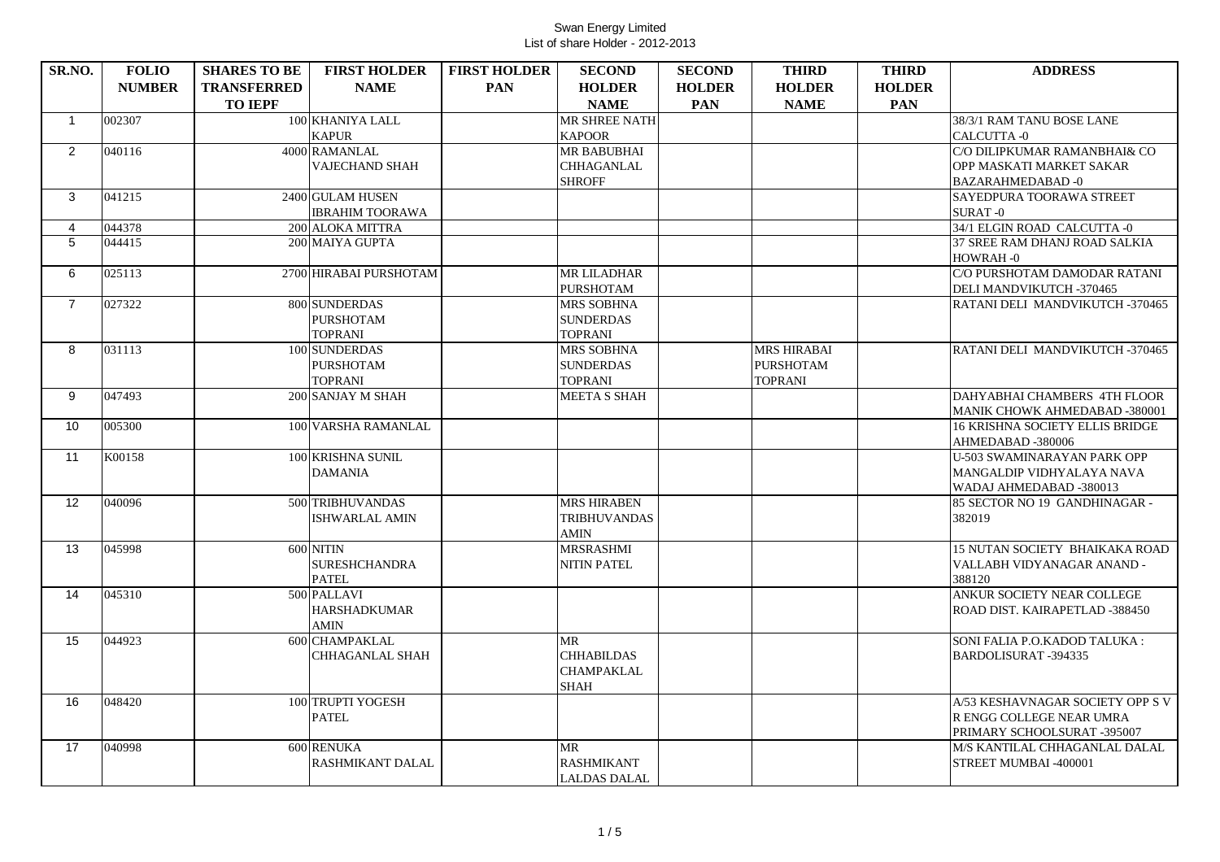| SR.NO.              | <b>FOLIO</b>  | <b>SHARES TO BE</b> | <b>FIRST HOLDER</b>    | <b>FIRST HOLDER</b> | <b>SECOND</b>       | <b>SECOND</b> | <b>THIRD</b>       | <b>THIRD</b>  | <b>ADDRESS</b>                                           |
|---------------------|---------------|---------------------|------------------------|---------------------|---------------------|---------------|--------------------|---------------|----------------------------------------------------------|
|                     | <b>NUMBER</b> | <b>TRANSFERRED</b>  | <b>NAME</b>            | <b>PAN</b>          | <b>HOLDER</b>       | <b>HOLDER</b> | <b>HOLDER</b>      | <b>HOLDER</b> |                                                          |
|                     |               | <b>TO IEPF</b>      |                        |                     | <b>NAME</b>         | <b>PAN</b>    | <b>NAME</b>        | <b>PAN</b>    |                                                          |
| $\mathbf{1}$        | 002307        |                     | 100 KHANIYA LALL       |                     | MR SHREE NATH       |               |                    |               | 38/3/1 RAM TANU BOSE LANE                                |
|                     |               |                     | <b>KAPUR</b>           |                     | <b>KAPOOR</b>       |               |                    |               | CALCUTTA-0                                               |
| $\overline{2}$      | 040116        |                     | 4000 RAMANLAL          |                     | <b>MR BABUBHAI</b>  |               |                    |               | C/O DILIPKUMAR RAMANBHAI& CO                             |
|                     |               |                     | <b>VAJECHAND SHAH</b>  |                     | <b>CHHAGANLAL</b>   |               |                    |               | OPP MASKATI MARKET SAKAR                                 |
|                     |               |                     |                        |                     | <b>SHROFF</b>       |               |                    |               | <b>BAZARAHMEDABAD-0</b>                                  |
| 3                   | 041215        |                     | 2400 GULAM HUSEN       |                     |                     |               |                    |               | SAYEDPURA TOORAWA STREET                                 |
|                     |               |                     | <b>IBRAHIM TOORAWA</b> |                     |                     |               |                    |               | <b>SURAT-0</b>                                           |
| $\overline{4}$<br>5 | 044378        |                     | 200 ALOKA MITTRA       |                     |                     |               |                    |               | 34/1 ELGIN ROAD CALCUTTA -0                              |
|                     | 044415        |                     | 200 MAIYA GUPTA        |                     |                     |               |                    |               | 37 SREE RAM DHANJ ROAD SALKIA<br>HOWRAH-0                |
| 6                   | 025113        |                     | 2700 HIRABAI PURSHOTAM |                     | <b>MR LILADHAR</b>  |               |                    |               | C/O PURSHOTAM DAMODAR RATANI                             |
|                     |               |                     |                        |                     | <b>PURSHOTAM</b>    |               |                    |               | DELI MANDVIKUTCH -370465                                 |
| $\overline{7}$      | 027322        |                     | 800 SUNDERDAS          |                     | <b>MRS SOBHNA</b>   |               |                    |               | RATANI DELI MANDVIKUTCH -370465                          |
|                     |               |                     | <b>PURSHOTAM</b>       |                     | <b>SUNDERDAS</b>    |               |                    |               |                                                          |
|                     |               |                     | <b>TOPRANI</b>         |                     | <b>TOPRANI</b>      |               |                    |               |                                                          |
| 8                   | 031113        |                     | 100 SUNDERDAS          |                     | <b>MRS SOBHNA</b>   |               | <b>MRS HIRABAI</b> |               | RATANI DELI MANDVIKUTCH -370465                          |
|                     |               |                     | <b>PURSHOTAM</b>       |                     | <b>SUNDERDAS</b>    |               | <b>PURSHOTAM</b>   |               |                                                          |
|                     |               |                     | <b>TOPRANI</b>         |                     | <b>TOPRANI</b>      |               | <b>TOPRANI</b>     |               |                                                          |
| 9                   | 047493        |                     | 200 SANJAY M SHAH      |                     | <b>MEETA S SHAH</b> |               |                    |               | DAHYABHAI CHAMBERS 4TH FLOOR                             |
|                     |               |                     |                        |                     |                     |               |                    |               | MANIK CHOWK AHMEDABAD -380001                            |
| 10                  | 005300        |                     | 100 VARSHA RAMANLAL    |                     |                     |               |                    |               | <b>16 KRISHNA SOCIETY ELLIS BRIDGE</b>                   |
|                     |               |                     |                        |                     |                     |               |                    |               | AHMEDABAD -380006                                        |
| 11                  | K00158        |                     | 100 KRISHNA SUNIL      |                     |                     |               |                    |               | U-503 SWAMINARAYAN PARK OPP                              |
|                     |               |                     | <b>DAMANIA</b>         |                     |                     |               |                    |               | MANGALDIP VIDHYALAYA NAVA                                |
| 12 <sup>2</sup>     | 040096        |                     | 500 TRIBHUVANDAS       |                     | <b>MRS HIRABEN</b>  |               |                    |               | WADAJ AHMEDABAD -380013<br>85 SECTOR NO 19 GANDHINAGAR - |
|                     |               |                     | <b>ISHWARLAL AMIN</b>  |                     | <b>TRIBHUVANDAS</b> |               |                    |               | 382019                                                   |
|                     |               |                     |                        |                     | <b>AMIN</b>         |               |                    |               |                                                          |
| 13                  | 045998        |                     | 600 NITIN              |                     | <b>MRSRASHMI</b>    |               |                    |               | 15 NUTAN SOCIETY BHAIKAKA ROAD                           |
|                     |               |                     | <b>SURESHCHANDRA</b>   |                     | <b>NITIN PATEL</b>  |               |                    |               | VALLABH VIDYANAGAR ANAND -                               |
|                     |               |                     | <b>PATEL</b>           |                     |                     |               |                    |               | 388120                                                   |
| 14                  | 045310        |                     | 500 PALLAVI            |                     |                     |               |                    |               | ANKUR SOCIETY NEAR COLLEGE                               |
|                     |               |                     | <b>HARSHADKUMAR</b>    |                     |                     |               |                    |               | ROAD DIST. KAIRAPETLAD -388450                           |
|                     |               |                     | <b>AMIN</b>            |                     |                     |               |                    |               |                                                          |
| 15                  | 044923        |                     | 600 CHAMPAKLAL         |                     | <b>MR</b>           |               |                    |               | SONI FALIA P.O.KADOD TALUKA:                             |
|                     |               |                     | <b>CHHAGANLAL SHAH</b> |                     | <b>CHHABILDAS</b>   |               |                    |               | <b>BARDOLISURAT-394335</b>                               |
|                     |               |                     |                        |                     | <b>CHAMPAKLAL</b>   |               |                    |               |                                                          |
|                     |               |                     |                        |                     | <b>SHAH</b>         |               |                    |               |                                                          |
| 16                  | 048420        |                     | 100 TRUPTI YOGESH      |                     |                     |               |                    |               | A/53 KESHAVNAGAR SOCIETY OPP S V                         |
|                     |               |                     | <b>PATEL</b>           |                     |                     |               |                    |               | R ENGG COLLEGE NEAR UMRA<br>PRIMARY SCHOOLSURAT-395007   |
| 17                  | 040998        |                     | 600 RENUKA             |                     | <b>MR</b>           |               |                    |               | M/S KANTILAL CHHAGANLAL DALAL                            |
|                     |               |                     | RASHMIKANT DALAL       |                     | <b>RASHMIKANT</b>   |               |                    |               | STREET MUMBAI -400001                                    |
|                     |               |                     |                        |                     | <b>LALDAS DALAL</b> |               |                    |               |                                                          |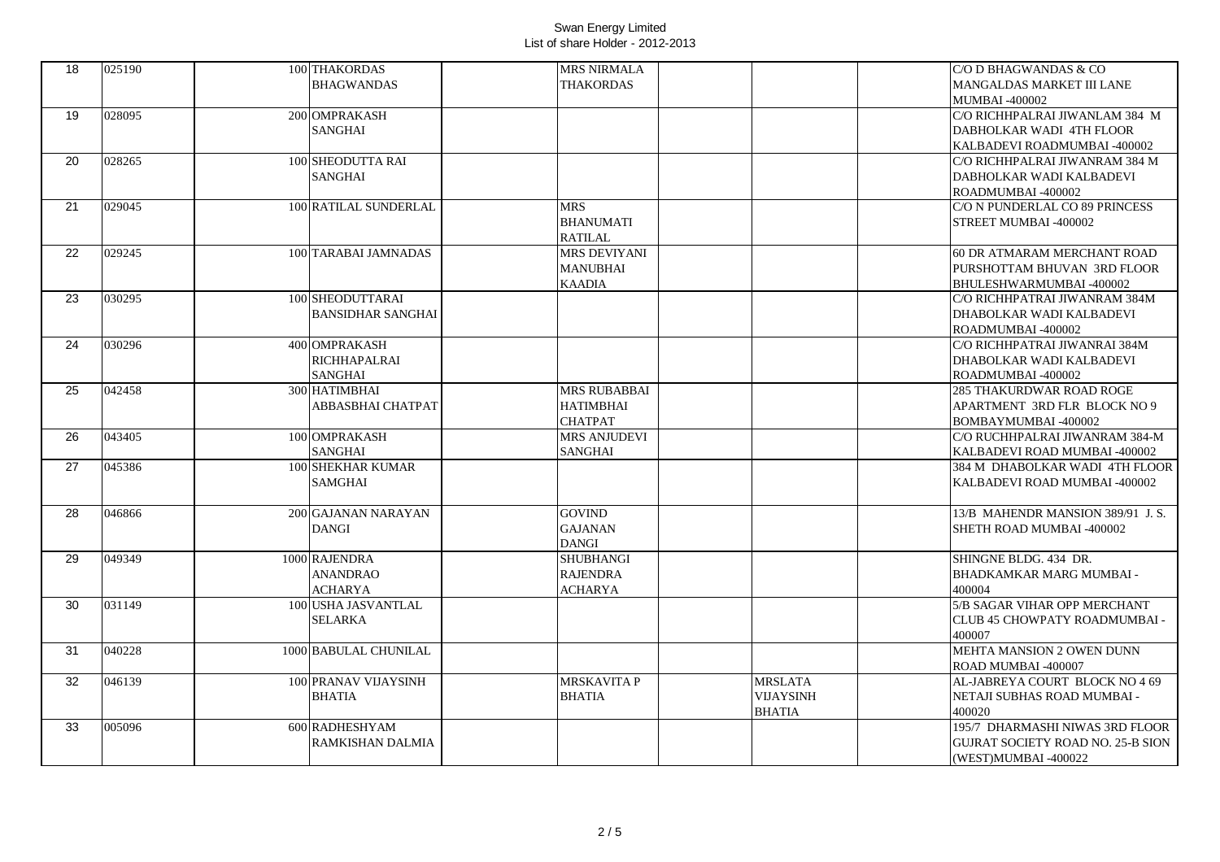| 18 |        |                              |                     |                |                                          |
|----|--------|------------------------------|---------------------|----------------|------------------------------------------|
|    | 025190 | 100 THAKORDAS                | <b>MRS NIRMALA</b>  |                | C/O D BHAGWANDAS & CO                    |
|    |        | <b>BHAGWANDAS</b>            | <b>THAKORDAS</b>    |                | MANGALDAS MARKET III LANE                |
|    |        |                              |                     |                | <b>MUMBAI -400002</b>                    |
| 19 | 028095 | 200 OMPRAKASH                |                     |                | C/O RICHHPALRAI JIWANLAM 384 M           |
|    |        | <b>SANGHAI</b>               |                     |                | DABHOLKAR WADI 4TH FLOOR                 |
|    |        |                              |                     |                | KALBADEVI ROADMUMBAI -400002             |
| 20 | 028265 | 100 SHEODUTTA RAI            |                     |                | C/O RICHHPALRAI JIWANRAM 384 M           |
|    |        | <b>SANGHAI</b>               |                     |                | DABHOLKAR WADI KALBADEVI                 |
|    |        |                              |                     |                | ROADMUMBAI-400002                        |
| 21 | 029045 | <b>100 RATILAL SUNDERLAL</b> | <b>MRS</b>          |                | C/O N PUNDERLAL CO 89 PRINCESS           |
|    |        |                              | <b>BHANUMATI</b>    |                | STREET MUMBAI -400002                    |
|    |        |                              | <b>RATILAL</b>      |                |                                          |
|    |        |                              | <b>MRS DEVIYANI</b> |                |                                          |
| 22 | 029245 | 100 TARABAI JAMNADAS         |                     |                | 60 DR ATMARAM MERCHANT ROAD              |
|    |        |                              | <b>MANUBHAI</b>     |                | PURSHOTTAM BHUVAN 3RD FLOOR              |
|    |        |                              | <b>KAADIA</b>       |                | BHULESHWARMUMBAI -400002                 |
| 23 | 030295 | 100 SHEODUTTARAI             |                     |                | C/O RICHHPATRAI JIWANRAM 384M            |
|    |        | <b>BANSIDHAR SANGHAI</b>     |                     |                | DHABOLKAR WADI KALBADEVI                 |
|    |        |                              |                     |                | ROADMUMBAI-400002                        |
| 24 | 030296 | 400 OMPRAKASH                |                     |                | C/O RICHHPATRAI JIWANRAI 384M            |
|    |        | RICHHAPALRAI                 |                     |                | DHABOLKAR WADI KALBADEVI                 |
|    |        | <b>SANGHAI</b>               |                     |                | ROADMUMBAI-400002                        |
| 25 | 042458 | 300 HATIMBHAI                | <b>MRS RUBABBAI</b> |                | <b>285 THAKURDWAR ROAD ROGE</b>          |
|    |        | ABBASBHAI CHATPAT            | <b>HATIMBHAI</b>    |                | APARTMENT 3RD FLR BLOCK NO 9             |
|    |        |                              | <b>CHATPAT</b>      |                | BOMBAYMUMBAI -400002                     |
| 26 | 043405 | 100 OMPRAKASH                | <b>MRS ANJUDEVI</b> |                | C/O RUCHHPALRAI JIWANRAM 384-M           |
|    |        |                              |                     |                |                                          |
|    |        | <b>SANGHAI</b>               | <b>SANGHAI</b>      |                | KALBADEVI ROAD MUMBAI -400002            |
| 27 | 045386 | 100 SHEKHAR KUMAR            |                     |                | 384 M DHABOLKAR WADI 4TH FLOOR           |
|    |        | <b>SAMGHAI</b>               |                     |                | KALBADEVI ROAD MUMBAI -400002            |
|    |        |                              |                     |                |                                          |
| 28 | 046866 | 200 GAJANAN NARAYAN          | <b>GOVIND</b>       |                | 13/B MAHENDR MANSION 389/91 J.S.         |
|    |        | <b>DANGI</b>                 | <b>GAJANAN</b>      |                | SHETH ROAD MUMBAI -400002                |
|    |        |                              | <b>DANGI</b>        |                |                                          |
| 29 | 049349 | 1000 RAJENDRA                | <b>SHUBHANGI</b>    |                | SHINGNE BLDG, 434 DR.                    |
|    |        | <b>ANANDRAO</b>              | <b>RAJENDRA</b>     |                | BHADKAMKAR MARG MUMBAI -                 |
|    |        | ACHARYA                      | <b>ACHARYA</b>      |                | 400004                                   |
| 30 | 031149 | 100 USHA JASVANTLAL          |                     |                | 5/B SAGAR VIHAR OPP MERCHANT             |
|    |        | SELARKA                      |                     |                | CLUB 45 CHOWPATY ROADMUMBAI -            |
|    |        |                              |                     |                | 400007                                   |
| 31 | 040228 | 1000 BABULAL CHUNILAL        |                     |                | MEHTA MANSION 2 OWEN DUNN                |
|    |        |                              |                     |                | ROAD MUMBAI -400007                      |
| 32 | 046139 | 100 PRANAV VIJAYSINH         | <b>MRSKAVITA P</b>  | <b>MRSLATA</b> | AL-JABREYA COURT BLOCK NO 4 69           |
|    |        |                              |                     |                |                                          |
|    |        | <b>BHATIA</b>                | <b>BHATIA</b>       | VIJAYSINH      | NETAJI SUBHAS ROAD MUMBAI -              |
|    |        |                              |                     | BHATIA         | 400020                                   |
| 33 | 005096 | 600 RADHESHYAM               |                     |                | 195/7 DHARMASHI NIWAS 3RD FLOOR          |
|    |        | RAMKISHAN DALMIA             |                     |                | <b>GUJRAT SOCIETY ROAD NO. 25-B SION</b> |
|    |        |                              |                     |                | (WEST)MUMBAI -400022                     |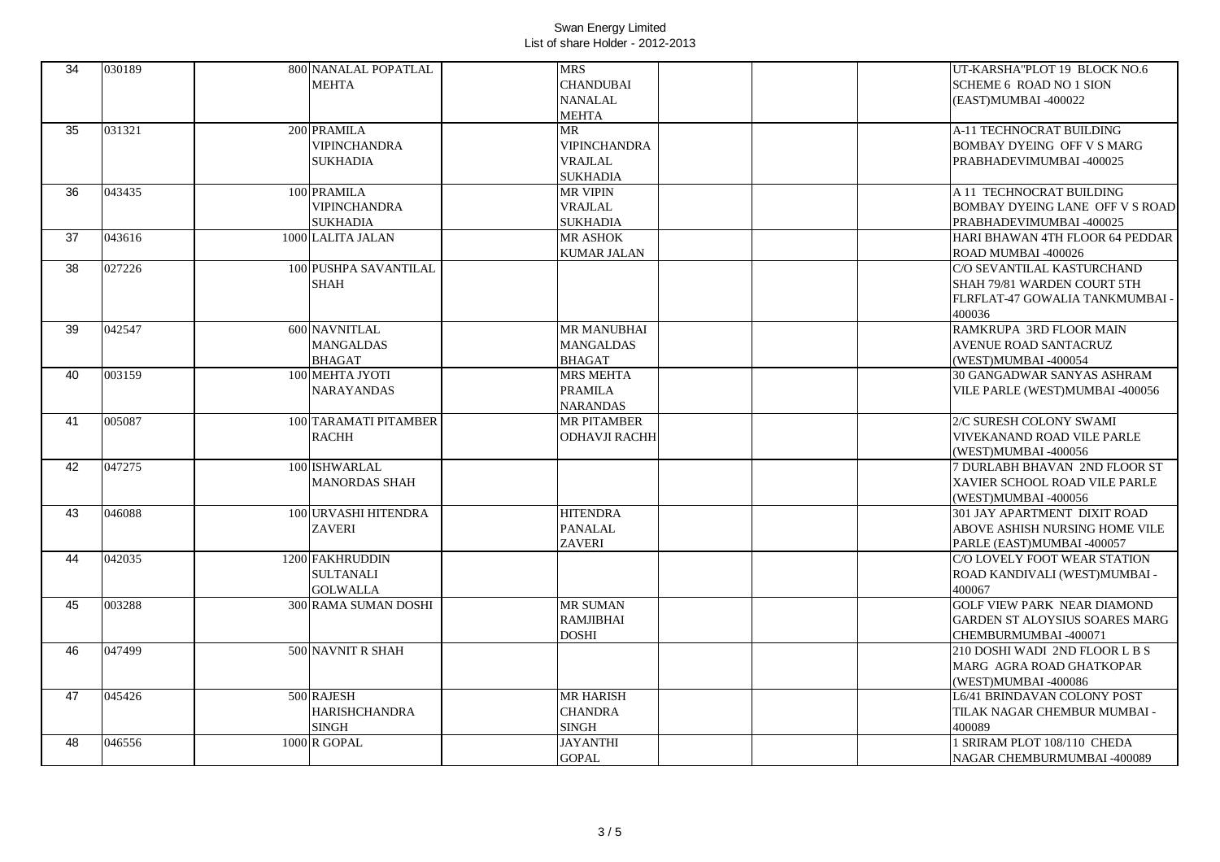| 34              | 030189 | 800 NANALAL POPATLAL  | <b>MRS</b>           | UT-KARSHA"PLOT 19 BLOCK NO.6          |
|-----------------|--------|-----------------------|----------------------|---------------------------------------|
|                 |        | <b>MEHTA</b>          | <b>CHANDUBAI</b>     | <b>SCHEME 6 ROAD NO 1 SION</b>        |
|                 |        |                       | <b>NANALAL</b>       | (EAST)MUMBAI -400022                  |
|                 |        |                       | <b>MEHTA</b>         |                                       |
| 35              | 031321 | 200 PRAMILA           | <b>MR</b>            | <b>A-11 TECHNOCRAT BUILDING</b>       |
|                 |        | <b>VIPINCHANDRA</b>   | <b>VIPINCHANDRA</b>  | <b>BOMBAY DYEING OFF V S MARG</b>     |
|                 |        | <b>SUKHADIA</b>       | <b>VRAJLAL</b>       | PRABHADEVIMUMBAI -400025              |
|                 |        |                       | <b>SUKHADIA</b>      |                                       |
| 36              | 043435 | 100 PRAMILA           | <b>MR VIPIN</b>      | A 11 TECHNOCRAT BUILDING              |
|                 |        | <b>VIPINCHANDRA</b>   | <b>VRAJLAL</b>       | BOMBAY DYEING LANE OFF V S ROAD       |
|                 |        | <b>SUKHADIA</b>       | <b>SUKHADIA</b>      | PRABHADEVIMUMBAI -400025              |
| 37              | 043616 | 1000 LALITA JALAN     | <b>MR ASHOK</b>      | HARI BHAWAN 4TH FLOOR 64 PEDDAR       |
|                 |        |                       | <b>KUMAR JALAN</b>   | ROAD MUMBAI -400026                   |
| $\overline{38}$ | 027226 | 100 PUSHPA SAVANTILAL |                      | C/O SEVANTILAL KASTURCHAND            |
|                 |        | <b>SHAH</b>           |                      | SHAH 79/81 WARDEN COURT 5TH           |
|                 |        |                       |                      | FLRFLAT-47 GOWALIA TANKMUMBAI -       |
|                 |        |                       |                      | 400036                                |
| 39              | 042547 | 600 NAVNITLAL         | <b>MR MANUBHAI</b>   | RAMKRUPA 3RD FLOOR MAIN               |
|                 |        | <b>MANGALDAS</b>      | <b>MANGALDAS</b>     | <b>AVENUE ROAD SANTACRUZ</b>          |
|                 |        | <b>BHAGAT</b>         | <b>BHAGAT</b>        | (WEST)MUMBAI -400054                  |
| 40              | 003159 | 100 MEHTA JYOTI       | <b>MRS MEHTA</b>     | 30 GANGADWAR SANYAS ASHRAM            |
|                 |        | <b>NARAYANDAS</b>     | <b>PRAMILA</b>       | VILE PARLE (WEST)MUMBAI -400056       |
|                 |        |                       | <b>NARANDAS</b>      |                                       |
| 41              | 005087 | 100 TARAMATI PITAMBER | <b>MR PITAMBER</b>   | 2/C SURESH COLONY SWAMI               |
|                 |        | <b>RACHH</b>          | <b>ODHAVJI RACHH</b> | VIVEKANAND ROAD VILE PARLE            |
|                 |        |                       |                      | (WEST)MUMBAI -400056                  |
| 42              | 047275 | 100 ISHWARLAL         |                      | 7 DURLABH BHAVAN 2ND FLOOR ST         |
|                 |        | <b>MANORDAS SHAH</b>  |                      | XAVIER SCHOOL ROAD VILE PARLE         |
|                 |        |                       |                      | (WEST)MUMBAI -400056                  |
| 43              | 046088 | 100 URVASHI HITENDRA  | <b>HITENDRA</b>      | 301 JAY APARTMENT DIXIT ROAD          |
|                 |        | <b>ZAVERI</b>         | <b>PANALAL</b>       | ABOVE ASHISH NURSING HOME VILE        |
|                 |        |                       | <b>ZAVERI</b>        | PARLE (EAST)MUMBAI -400057            |
| 44              | 042035 | 1200 FAKHRUDDIN       |                      | C/O LOVELY FOOT WEAR STATION          |
|                 |        | <b>SULTANALI</b>      |                      | ROAD KANDIVALI (WEST)MUMBAI -         |
|                 |        | <b>GOLWALLA</b>       |                      | 400067                                |
| 45              | 003288 | 300 RAMA SUMAN DOSHI  | <b>MR SUMAN</b>      | <b>GOLF VIEW PARK NEAR DIAMOND</b>    |
|                 |        |                       | <b>RAMJIBHAI</b>     | <b>GARDEN ST ALOYSIUS SOARES MARG</b> |
|                 |        |                       | <b>DOSHI</b>         | CHEMBURMUMBAI -400071                 |
| 46              | 047499 | 500 NAVNIT R SHAH     |                      | 210 DOSHI WADI 2ND FLOOR L B S        |
|                 |        |                       |                      | MARG AGRA ROAD GHATKOPAR              |
|                 |        |                       |                      | (WEST)MUMBAI -400086                  |
| 47              | 045426 | 500 RAJESH            | <b>MR HARISH</b>     | L6/41 BRINDAVAN COLONY POST           |
|                 |        | <b>HARISHCHANDRA</b>  | <b>CHANDRA</b>       | TILAK NAGAR CHEMBUR MUMBAI -          |
|                 |        | <b>SINGH</b>          | <b>SINGH</b>         | 400089                                |
| 48              | 046556 | 1000 R GOPAL          | <b>JAYANTHI</b>      | 1 SRIRAM PLOT 108/110 CHEDA           |
|                 |        |                       | <b>GOPAL</b>         | NAGAR CHEMBURMUMBAI -400089           |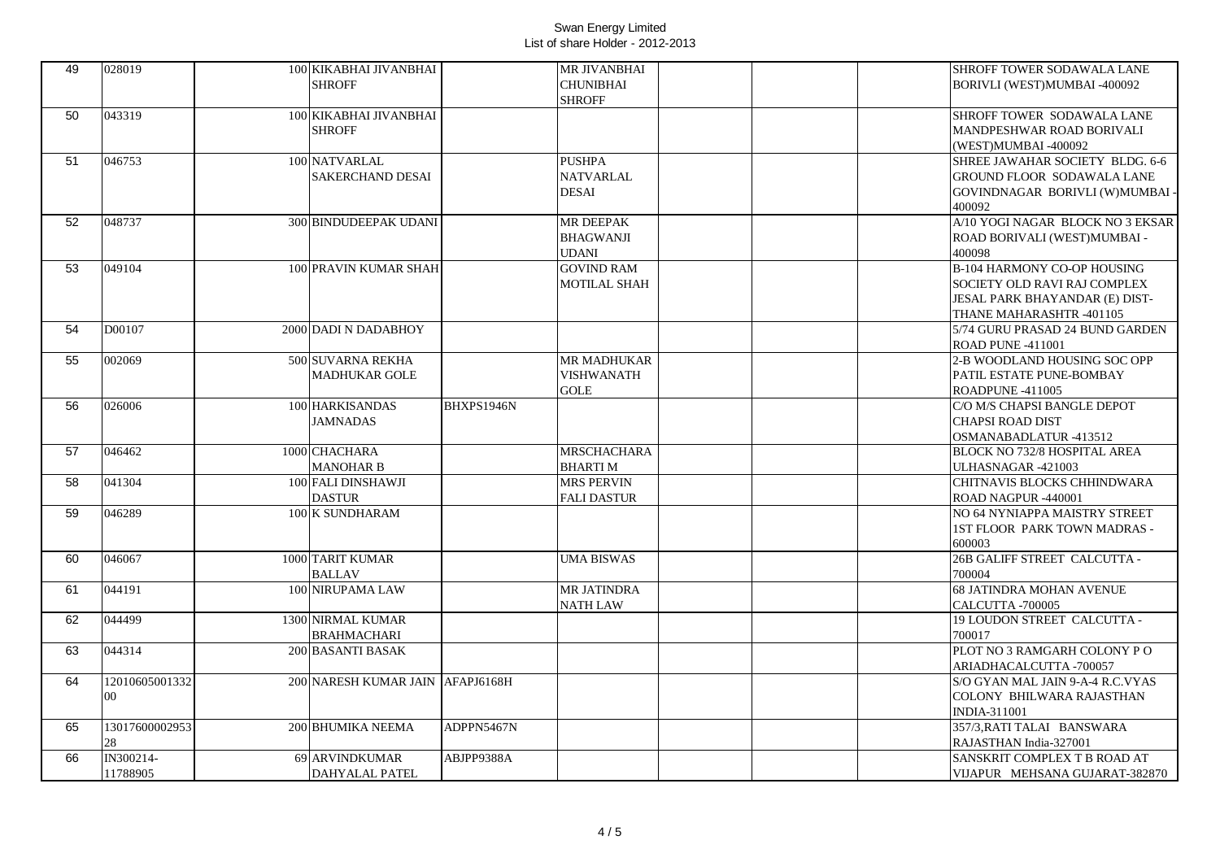| <b>SHROFF</b><br><b>CHUNIBHAI</b><br>BORIVLI (WEST)MUMBAI -400092<br><b>SHROFF</b><br>50<br>043319<br>100 KIKABHAI JIVANBHAI<br>SHROFF TOWER SODAWALA LANE<br><b>SHROFF</b><br>MANDPESHWAR ROAD BORIVALI<br>(WEST)MUMBAI -400092<br>046753<br>100 NATVARLAL<br><b>PUSHPA</b><br>51<br>SHREE JAWAHAR SOCIETY BLDG. 6-6<br><b>SAKERCHAND DESAI</b><br>NATVARLAL<br><b>GROUND FLOOR SODAWALA LANE</b><br>DESAI<br>GOVINDNAGAR BORIVLI (W)MUMBAI -<br>400092<br>52<br>048737<br>A/10 YOGI NAGAR BLOCK NO 3 EKSAR<br><b>300 BINDUDEEPAK UDANI</b><br>MR DEEPAK<br><b>BHAGWANJI</b><br>ROAD BORIVALI (WEST)MUMBAI -<br>UDANI<br>400098<br>049104<br><b>GOVIND RAM</b><br><b>B-104 HARMONY CO-OP HOUSING</b><br>53<br>100 PRAVIN KUMAR SHAH<br>MOTILAL SHAH<br>SOCIETY OLD RAVI RAJ COMPLEX<br>JESAL PARK BHAYANDAR (E) DIST-<br>THANE MAHARASHTR -401105<br>54<br>D00107<br>2000 DADI N DADABHOY<br>5/74 GURU PRASAD 24 BUND GARDEN<br>ROAD PUNE -411001<br>55<br>002069<br>500 SUVARNA REKHA<br>MR MADHUKAR<br>2-B WOODLAND HOUSING SOC OPP<br>MADHUKAR GOLE<br><b>VISHWANATH</b><br>PATIL ESTATE PUNE-BOMBAY<br><b>GOLE</b><br>ROADPUNE-411005<br>56<br>026006<br>BHXPS1946N<br>100 HARKISANDAS<br>C/O M/S CHAPSI BANGLE DEPOT<br><b>JAMNADAS</b><br>CHAPSI ROAD DIST<br>OSMANABADLATUR-413512<br>1000 CHACHARA<br><b>MRSCHACHARA</b><br>57<br>046462<br>BLOCK NO 732/8 HOSPITAL AREA<br><b>MANOHAR B</b><br><b>BHARTIM</b><br>ULHASNAGAR -421003<br>100 FALI DINSHAWJI<br>58<br>041304<br><b>MRS PERVIN</b><br>CHITNAVIS BLOCKS CHHINDWARA<br><b>DASTUR</b><br><b>FALI DASTUR</b><br>ROAD NAGPUR -440001<br>046289<br>59<br>100 K SUNDHARAM<br>NO 64 NYNIAPPA MAISTRY STREET<br><b>1ST FLOOR PARK TOWN MADRAS -</b><br>600003<br>046067<br>1000 TARIT KUMAR<br><b>UMA BISWAS</b><br>26B GALIFF STREET CALCUTTA -<br>60<br>700004<br><b>BALLAV</b><br>61<br>044191<br>100 NIRUPAMA LAW<br>MR JATINDRA<br><b>68 JATINDRA MOHAN AVENUE</b><br><b>NATH LAW</b><br>CALCUTTA -700005<br>19 LOUDON STREET CALCUTTA -<br>62<br>044499<br>1300 NIRMAL KUMAR<br>700017<br>BRAHMACHARI<br>200 BASANTI BASAK<br>PLOT NO 3 RAMGARH COLONY PO<br>63<br>044314<br>ARIADHACALCUTTA -700057<br>12010605001332<br>64<br>200 NARESH KUMAR JAIN AFAPJ6168H<br>S/O GYAN MAL JAIN 9-A-4 R.C.VYAS<br>$00\,$<br>COLONY BHILWARA RAJASTHAN<br><b>INDIA-311001</b><br>13017600002953<br>ADPPN5467N<br>65<br>200 BHUMIKA NEEMA<br>357/3, RATI TALAI BANSWARA<br>28<br>RAJASTHAN India-327001<br>66<br>IN300214-<br>69 ARVINDKUMAR<br>ABJPP9388A<br>SANSKRIT COMPLEX T B ROAD AT<br>11788905<br><b>DAHYALAL PATEL</b><br>VIJAPUR MEHSANA GUJARAT-382870 | 49 | 028019 | 100 KIKABHAI JIVANBHAI | MR JIVANBHAI | SHROFF TOWER SODAWALA LANE |
|--------------------------------------------------------------------------------------------------------------------------------------------------------------------------------------------------------------------------------------------------------------------------------------------------------------------------------------------------------------------------------------------------------------------------------------------------------------------------------------------------------------------------------------------------------------------------------------------------------------------------------------------------------------------------------------------------------------------------------------------------------------------------------------------------------------------------------------------------------------------------------------------------------------------------------------------------------------------------------------------------------------------------------------------------------------------------------------------------------------------------------------------------------------------------------------------------------------------------------------------------------------------------------------------------------------------------------------------------------------------------------------------------------------------------------------------------------------------------------------------------------------------------------------------------------------------------------------------------------------------------------------------------------------------------------------------------------------------------------------------------------------------------------------------------------------------------------------------------------------------------------------------------------------------------------------------------------------------------------------------------------------------------------------------------------------------------------------------------------------------------------------------------------------------------------------------------------------------------------------------------------------------------------------------------------------------------------------------------------------------------------------------------------------------------------------------------------------------------------------------------------------------------------------------------------------------------------------------------------------------------|----|--------|------------------------|--------------|----------------------------|
|                                                                                                                                                                                                                                                                                                                                                                                                                                                                                                                                                                                                                                                                                                                                                                                                                                                                                                                                                                                                                                                                                                                                                                                                                                                                                                                                                                                                                                                                                                                                                                                                                                                                                                                                                                                                                                                                                                                                                                                                                                                                                                                                                                                                                                                                                                                                                                                                                                                                                                                                                                                                                          |    |        |                        |              |                            |
|                                                                                                                                                                                                                                                                                                                                                                                                                                                                                                                                                                                                                                                                                                                                                                                                                                                                                                                                                                                                                                                                                                                                                                                                                                                                                                                                                                                                                                                                                                                                                                                                                                                                                                                                                                                                                                                                                                                                                                                                                                                                                                                                                                                                                                                                                                                                                                                                                                                                                                                                                                                                                          |    |        |                        |              |                            |
|                                                                                                                                                                                                                                                                                                                                                                                                                                                                                                                                                                                                                                                                                                                                                                                                                                                                                                                                                                                                                                                                                                                                                                                                                                                                                                                                                                                                                                                                                                                                                                                                                                                                                                                                                                                                                                                                                                                                                                                                                                                                                                                                                                                                                                                                                                                                                                                                                                                                                                                                                                                                                          |    |        |                        |              |                            |
|                                                                                                                                                                                                                                                                                                                                                                                                                                                                                                                                                                                                                                                                                                                                                                                                                                                                                                                                                                                                                                                                                                                                                                                                                                                                                                                                                                                                                                                                                                                                                                                                                                                                                                                                                                                                                                                                                                                                                                                                                                                                                                                                                                                                                                                                                                                                                                                                                                                                                                                                                                                                                          |    |        |                        |              |                            |
|                                                                                                                                                                                                                                                                                                                                                                                                                                                                                                                                                                                                                                                                                                                                                                                                                                                                                                                                                                                                                                                                                                                                                                                                                                                                                                                                                                                                                                                                                                                                                                                                                                                                                                                                                                                                                                                                                                                                                                                                                                                                                                                                                                                                                                                                                                                                                                                                                                                                                                                                                                                                                          |    |        |                        |              |                            |
|                                                                                                                                                                                                                                                                                                                                                                                                                                                                                                                                                                                                                                                                                                                                                                                                                                                                                                                                                                                                                                                                                                                                                                                                                                                                                                                                                                                                                                                                                                                                                                                                                                                                                                                                                                                                                                                                                                                                                                                                                                                                                                                                                                                                                                                                                                                                                                                                                                                                                                                                                                                                                          |    |        |                        |              |                            |
|                                                                                                                                                                                                                                                                                                                                                                                                                                                                                                                                                                                                                                                                                                                                                                                                                                                                                                                                                                                                                                                                                                                                                                                                                                                                                                                                                                                                                                                                                                                                                                                                                                                                                                                                                                                                                                                                                                                                                                                                                                                                                                                                                                                                                                                                                                                                                                                                                                                                                                                                                                                                                          |    |        |                        |              |                            |
|                                                                                                                                                                                                                                                                                                                                                                                                                                                                                                                                                                                                                                                                                                                                                                                                                                                                                                                                                                                                                                                                                                                                                                                                                                                                                                                                                                                                                                                                                                                                                                                                                                                                                                                                                                                                                                                                                                                                                                                                                                                                                                                                                                                                                                                                                                                                                                                                                                                                                                                                                                                                                          |    |        |                        |              |                            |
|                                                                                                                                                                                                                                                                                                                                                                                                                                                                                                                                                                                                                                                                                                                                                                                                                                                                                                                                                                                                                                                                                                                                                                                                                                                                                                                                                                                                                                                                                                                                                                                                                                                                                                                                                                                                                                                                                                                                                                                                                                                                                                                                                                                                                                                                                                                                                                                                                                                                                                                                                                                                                          |    |        |                        |              |                            |
|                                                                                                                                                                                                                                                                                                                                                                                                                                                                                                                                                                                                                                                                                                                                                                                                                                                                                                                                                                                                                                                                                                                                                                                                                                                                                                                                                                                                                                                                                                                                                                                                                                                                                                                                                                                                                                                                                                                                                                                                                                                                                                                                                                                                                                                                                                                                                                                                                                                                                                                                                                                                                          |    |        |                        |              |                            |
|                                                                                                                                                                                                                                                                                                                                                                                                                                                                                                                                                                                                                                                                                                                                                                                                                                                                                                                                                                                                                                                                                                                                                                                                                                                                                                                                                                                                                                                                                                                                                                                                                                                                                                                                                                                                                                                                                                                                                                                                                                                                                                                                                                                                                                                                                                                                                                                                                                                                                                                                                                                                                          |    |        |                        |              |                            |
|                                                                                                                                                                                                                                                                                                                                                                                                                                                                                                                                                                                                                                                                                                                                                                                                                                                                                                                                                                                                                                                                                                                                                                                                                                                                                                                                                                                                                                                                                                                                                                                                                                                                                                                                                                                                                                                                                                                                                                                                                                                                                                                                                                                                                                                                                                                                                                                                                                                                                                                                                                                                                          |    |        |                        |              |                            |
|                                                                                                                                                                                                                                                                                                                                                                                                                                                                                                                                                                                                                                                                                                                                                                                                                                                                                                                                                                                                                                                                                                                                                                                                                                                                                                                                                                                                                                                                                                                                                                                                                                                                                                                                                                                                                                                                                                                                                                                                                                                                                                                                                                                                                                                                                                                                                                                                                                                                                                                                                                                                                          |    |        |                        |              |                            |
|                                                                                                                                                                                                                                                                                                                                                                                                                                                                                                                                                                                                                                                                                                                                                                                                                                                                                                                                                                                                                                                                                                                                                                                                                                                                                                                                                                                                                                                                                                                                                                                                                                                                                                                                                                                                                                                                                                                                                                                                                                                                                                                                                                                                                                                                                                                                                                                                                                                                                                                                                                                                                          |    |        |                        |              |                            |
|                                                                                                                                                                                                                                                                                                                                                                                                                                                                                                                                                                                                                                                                                                                                                                                                                                                                                                                                                                                                                                                                                                                                                                                                                                                                                                                                                                                                                                                                                                                                                                                                                                                                                                                                                                                                                                                                                                                                                                                                                                                                                                                                                                                                                                                                                                                                                                                                                                                                                                                                                                                                                          |    |        |                        |              |                            |
|                                                                                                                                                                                                                                                                                                                                                                                                                                                                                                                                                                                                                                                                                                                                                                                                                                                                                                                                                                                                                                                                                                                                                                                                                                                                                                                                                                                                                                                                                                                                                                                                                                                                                                                                                                                                                                                                                                                                                                                                                                                                                                                                                                                                                                                                                                                                                                                                                                                                                                                                                                                                                          |    |        |                        |              |                            |
|                                                                                                                                                                                                                                                                                                                                                                                                                                                                                                                                                                                                                                                                                                                                                                                                                                                                                                                                                                                                                                                                                                                                                                                                                                                                                                                                                                                                                                                                                                                                                                                                                                                                                                                                                                                                                                                                                                                                                                                                                                                                                                                                                                                                                                                                                                                                                                                                                                                                                                                                                                                                                          |    |        |                        |              |                            |
|                                                                                                                                                                                                                                                                                                                                                                                                                                                                                                                                                                                                                                                                                                                                                                                                                                                                                                                                                                                                                                                                                                                                                                                                                                                                                                                                                                                                                                                                                                                                                                                                                                                                                                                                                                                                                                                                                                                                                                                                                                                                                                                                                                                                                                                                                                                                                                                                                                                                                                                                                                                                                          |    |        |                        |              |                            |
|                                                                                                                                                                                                                                                                                                                                                                                                                                                                                                                                                                                                                                                                                                                                                                                                                                                                                                                                                                                                                                                                                                                                                                                                                                                                                                                                                                                                                                                                                                                                                                                                                                                                                                                                                                                                                                                                                                                                                                                                                                                                                                                                                                                                                                                                                                                                                                                                                                                                                                                                                                                                                          |    |        |                        |              |                            |
|                                                                                                                                                                                                                                                                                                                                                                                                                                                                                                                                                                                                                                                                                                                                                                                                                                                                                                                                                                                                                                                                                                                                                                                                                                                                                                                                                                                                                                                                                                                                                                                                                                                                                                                                                                                                                                                                                                                                                                                                                                                                                                                                                                                                                                                                                                                                                                                                                                                                                                                                                                                                                          |    |        |                        |              |                            |
|                                                                                                                                                                                                                                                                                                                                                                                                                                                                                                                                                                                                                                                                                                                                                                                                                                                                                                                                                                                                                                                                                                                                                                                                                                                                                                                                                                                                                                                                                                                                                                                                                                                                                                                                                                                                                                                                                                                                                                                                                                                                                                                                                                                                                                                                                                                                                                                                                                                                                                                                                                                                                          |    |        |                        |              |                            |
|                                                                                                                                                                                                                                                                                                                                                                                                                                                                                                                                                                                                                                                                                                                                                                                                                                                                                                                                                                                                                                                                                                                                                                                                                                                                                                                                                                                                                                                                                                                                                                                                                                                                                                                                                                                                                                                                                                                                                                                                                                                                                                                                                                                                                                                                                                                                                                                                                                                                                                                                                                                                                          |    |        |                        |              |                            |
|                                                                                                                                                                                                                                                                                                                                                                                                                                                                                                                                                                                                                                                                                                                                                                                                                                                                                                                                                                                                                                                                                                                                                                                                                                                                                                                                                                                                                                                                                                                                                                                                                                                                                                                                                                                                                                                                                                                                                                                                                                                                                                                                                                                                                                                                                                                                                                                                                                                                                                                                                                                                                          |    |        |                        |              |                            |
|                                                                                                                                                                                                                                                                                                                                                                                                                                                                                                                                                                                                                                                                                                                                                                                                                                                                                                                                                                                                                                                                                                                                                                                                                                                                                                                                                                                                                                                                                                                                                                                                                                                                                                                                                                                                                                                                                                                                                                                                                                                                                                                                                                                                                                                                                                                                                                                                                                                                                                                                                                                                                          |    |        |                        |              |                            |
|                                                                                                                                                                                                                                                                                                                                                                                                                                                                                                                                                                                                                                                                                                                                                                                                                                                                                                                                                                                                                                                                                                                                                                                                                                                                                                                                                                                                                                                                                                                                                                                                                                                                                                                                                                                                                                                                                                                                                                                                                                                                                                                                                                                                                                                                                                                                                                                                                                                                                                                                                                                                                          |    |        |                        |              |                            |
|                                                                                                                                                                                                                                                                                                                                                                                                                                                                                                                                                                                                                                                                                                                                                                                                                                                                                                                                                                                                                                                                                                                                                                                                                                                                                                                                                                                                                                                                                                                                                                                                                                                                                                                                                                                                                                                                                                                                                                                                                                                                                                                                                                                                                                                                                                                                                                                                                                                                                                                                                                                                                          |    |        |                        |              |                            |
|                                                                                                                                                                                                                                                                                                                                                                                                                                                                                                                                                                                                                                                                                                                                                                                                                                                                                                                                                                                                                                                                                                                                                                                                                                                                                                                                                                                                                                                                                                                                                                                                                                                                                                                                                                                                                                                                                                                                                                                                                                                                                                                                                                                                                                                                                                                                                                                                                                                                                                                                                                                                                          |    |        |                        |              |                            |
|                                                                                                                                                                                                                                                                                                                                                                                                                                                                                                                                                                                                                                                                                                                                                                                                                                                                                                                                                                                                                                                                                                                                                                                                                                                                                                                                                                                                                                                                                                                                                                                                                                                                                                                                                                                                                                                                                                                                                                                                                                                                                                                                                                                                                                                                                                                                                                                                                                                                                                                                                                                                                          |    |        |                        |              |                            |
|                                                                                                                                                                                                                                                                                                                                                                                                                                                                                                                                                                                                                                                                                                                                                                                                                                                                                                                                                                                                                                                                                                                                                                                                                                                                                                                                                                                                                                                                                                                                                                                                                                                                                                                                                                                                                                                                                                                                                                                                                                                                                                                                                                                                                                                                                                                                                                                                                                                                                                                                                                                                                          |    |        |                        |              |                            |
|                                                                                                                                                                                                                                                                                                                                                                                                                                                                                                                                                                                                                                                                                                                                                                                                                                                                                                                                                                                                                                                                                                                                                                                                                                                                                                                                                                                                                                                                                                                                                                                                                                                                                                                                                                                                                                                                                                                                                                                                                                                                                                                                                                                                                                                                                                                                                                                                                                                                                                                                                                                                                          |    |        |                        |              |                            |
|                                                                                                                                                                                                                                                                                                                                                                                                                                                                                                                                                                                                                                                                                                                                                                                                                                                                                                                                                                                                                                                                                                                                                                                                                                                                                                                                                                                                                                                                                                                                                                                                                                                                                                                                                                                                                                                                                                                                                                                                                                                                                                                                                                                                                                                                                                                                                                                                                                                                                                                                                                                                                          |    |        |                        |              |                            |
|                                                                                                                                                                                                                                                                                                                                                                                                                                                                                                                                                                                                                                                                                                                                                                                                                                                                                                                                                                                                                                                                                                                                                                                                                                                                                                                                                                                                                                                                                                                                                                                                                                                                                                                                                                                                                                                                                                                                                                                                                                                                                                                                                                                                                                                                                                                                                                                                                                                                                                                                                                                                                          |    |        |                        |              |                            |
|                                                                                                                                                                                                                                                                                                                                                                                                                                                                                                                                                                                                                                                                                                                                                                                                                                                                                                                                                                                                                                                                                                                                                                                                                                                                                                                                                                                                                                                                                                                                                                                                                                                                                                                                                                                                                                                                                                                                                                                                                                                                                                                                                                                                                                                                                                                                                                                                                                                                                                                                                                                                                          |    |        |                        |              |                            |
|                                                                                                                                                                                                                                                                                                                                                                                                                                                                                                                                                                                                                                                                                                                                                                                                                                                                                                                                                                                                                                                                                                                                                                                                                                                                                                                                                                                                                                                                                                                                                                                                                                                                                                                                                                                                                                                                                                                                                                                                                                                                                                                                                                                                                                                                                                                                                                                                                                                                                                                                                                                                                          |    |        |                        |              |                            |
|                                                                                                                                                                                                                                                                                                                                                                                                                                                                                                                                                                                                                                                                                                                                                                                                                                                                                                                                                                                                                                                                                                                                                                                                                                                                                                                                                                                                                                                                                                                                                                                                                                                                                                                                                                                                                                                                                                                                                                                                                                                                                                                                                                                                                                                                                                                                                                                                                                                                                                                                                                                                                          |    |        |                        |              |                            |
|                                                                                                                                                                                                                                                                                                                                                                                                                                                                                                                                                                                                                                                                                                                                                                                                                                                                                                                                                                                                                                                                                                                                                                                                                                                                                                                                                                                                                                                                                                                                                                                                                                                                                                                                                                                                                                                                                                                                                                                                                                                                                                                                                                                                                                                                                                                                                                                                                                                                                                                                                                                                                          |    |        |                        |              |                            |
|                                                                                                                                                                                                                                                                                                                                                                                                                                                                                                                                                                                                                                                                                                                                                                                                                                                                                                                                                                                                                                                                                                                                                                                                                                                                                                                                                                                                                                                                                                                                                                                                                                                                                                                                                                                                                                                                                                                                                                                                                                                                                                                                                                                                                                                                                                                                                                                                                                                                                                                                                                                                                          |    |        |                        |              |                            |
|                                                                                                                                                                                                                                                                                                                                                                                                                                                                                                                                                                                                                                                                                                                                                                                                                                                                                                                                                                                                                                                                                                                                                                                                                                                                                                                                                                                                                                                                                                                                                                                                                                                                                                                                                                                                                                                                                                                                                                                                                                                                                                                                                                                                                                                                                                                                                                                                                                                                                                                                                                                                                          |    |        |                        |              |                            |
|                                                                                                                                                                                                                                                                                                                                                                                                                                                                                                                                                                                                                                                                                                                                                                                                                                                                                                                                                                                                                                                                                                                                                                                                                                                                                                                                                                                                                                                                                                                                                                                                                                                                                                                                                                                                                                                                                                                                                                                                                                                                                                                                                                                                                                                                                                                                                                                                                                                                                                                                                                                                                          |    |        |                        |              |                            |
|                                                                                                                                                                                                                                                                                                                                                                                                                                                                                                                                                                                                                                                                                                                                                                                                                                                                                                                                                                                                                                                                                                                                                                                                                                                                                                                                                                                                                                                                                                                                                                                                                                                                                                                                                                                                                                                                                                                                                                                                                                                                                                                                                                                                                                                                                                                                                                                                                                                                                                                                                                                                                          |    |        |                        |              |                            |
|                                                                                                                                                                                                                                                                                                                                                                                                                                                                                                                                                                                                                                                                                                                                                                                                                                                                                                                                                                                                                                                                                                                                                                                                                                                                                                                                                                                                                                                                                                                                                                                                                                                                                                                                                                                                                                                                                                                                                                                                                                                                                                                                                                                                                                                                                                                                                                                                                                                                                                                                                                                                                          |    |        |                        |              |                            |
|                                                                                                                                                                                                                                                                                                                                                                                                                                                                                                                                                                                                                                                                                                                                                                                                                                                                                                                                                                                                                                                                                                                                                                                                                                                                                                                                                                                                                                                                                                                                                                                                                                                                                                                                                                                                                                                                                                                                                                                                                                                                                                                                                                                                                                                                                                                                                                                                                                                                                                                                                                                                                          |    |        |                        |              |                            |
|                                                                                                                                                                                                                                                                                                                                                                                                                                                                                                                                                                                                                                                                                                                                                                                                                                                                                                                                                                                                                                                                                                                                                                                                                                                                                                                                                                                                                                                                                                                                                                                                                                                                                                                                                                                                                                                                                                                                                                                                                                                                                                                                                                                                                                                                                                                                                                                                                                                                                                                                                                                                                          |    |        |                        |              |                            |
|                                                                                                                                                                                                                                                                                                                                                                                                                                                                                                                                                                                                                                                                                                                                                                                                                                                                                                                                                                                                                                                                                                                                                                                                                                                                                                                                                                                                                                                                                                                                                                                                                                                                                                                                                                                                                                                                                                                                                                                                                                                                                                                                                                                                                                                                                                                                                                                                                                                                                                                                                                                                                          |    |        |                        |              |                            |
|                                                                                                                                                                                                                                                                                                                                                                                                                                                                                                                                                                                                                                                                                                                                                                                                                                                                                                                                                                                                                                                                                                                                                                                                                                                                                                                                                                                                                                                                                                                                                                                                                                                                                                                                                                                                                                                                                                                                                                                                                                                                                                                                                                                                                                                                                                                                                                                                                                                                                                                                                                                                                          |    |        |                        |              |                            |
|                                                                                                                                                                                                                                                                                                                                                                                                                                                                                                                                                                                                                                                                                                                                                                                                                                                                                                                                                                                                                                                                                                                                                                                                                                                                                                                                                                                                                                                                                                                                                                                                                                                                                                                                                                                                                                                                                                                                                                                                                                                                                                                                                                                                                                                                                                                                                                                                                                                                                                                                                                                                                          |    |        |                        |              |                            |